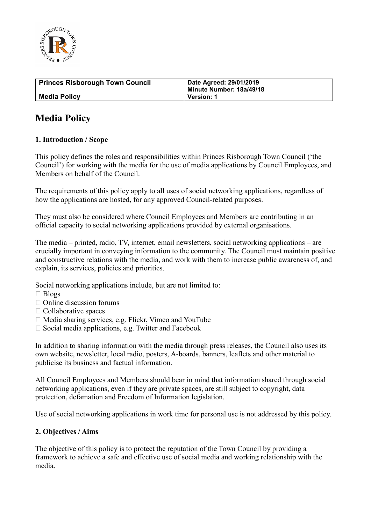

| <b>Princes Risborough Town Council</b> | Date Agreed: 29/01/2019<br>Minute Number: 18a/49/18 |
|----------------------------------------|-----------------------------------------------------|
| <b>Media Policy</b>                    | <b>Version: 1</b>                                   |

# **Media Policy**

## **1. Introduction / Scope**

This policy defines the roles and responsibilities within Princes Risborough Town Council ('the Council') for working with the media for the use of media applications by Council Employees, and Members on behalf of the Council.

The requirements of this policy apply to all uses of social networking applications, regardless of how the applications are hosted, for any approved Council-related purposes.

They must also be considered where Council Employees and Members are contributing in an official capacity to social networking applications provided by external organisations.

The media – printed, radio, TV, internet, email newsletters, social networking applications – are crucially important in conveying information to the community. The Council must maintain positive and constructive relations with the media, and work with them to increase public awareness of, and explain, its services, policies and priorities.

Social networking applications include, but are not limited to:

- □ Blogs
- $\Box$  Online discussion forums
- $\Box$  Collaborative spaces
- $\Box$  Media sharing services, e.g. Flickr, Vimeo and YouTube
- $\Box$  Social media applications, e.g. Twitter and Facebook

In addition to sharing information with the media through press releases, the Council also uses its own website, newsletter, local radio, posters, A-boards, banners, leaflets and other material to publicise its business and factual information.

All Council Employees and Members should bear in mind that information shared through social networking applications, even if they are private spaces, are still subject to copyright, data protection, defamation and Freedom of Information legislation.

Use of social networking applications in work time for personal use is not addressed by this policy.

## **2. Objectives / Aims**

The objective of this policy is to protect the reputation of the Town Council by providing a framework to achieve a safe and effective use of social media and working relationship with the media.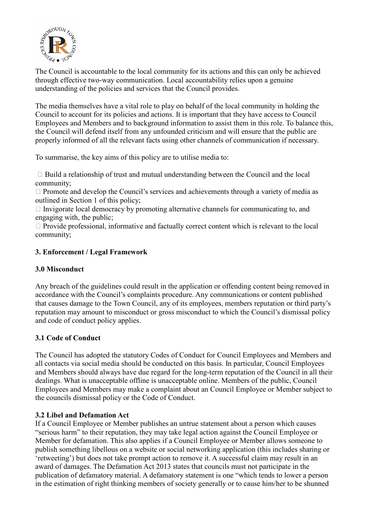

The Council is accountable to the local community for its actions and this can only be achieved through effective two-way communication. Local accountability relies upon a genuine understanding of the policies and services that the Council provides.

The media themselves have a vital role to play on behalf of the local community in holding the Council to account for its policies and actions. It is important that they have access to Council Employees and Members and to background information to assist them in this role. To balance this, the Council will defend itself from any unfounded criticism and will ensure that the public are properly informed of all the relevant facts using other channels of communication if necessary.

To summarise, the key aims of this policy are to utilise media to:

 $\Box$  Build a relationship of trust and mutual understanding between the Council and the local community;

 $\Box$  Promote and develop the Council's services and achievements through a variety of media as outlined in Section 1 of this policy;

 $\Box$  Invigorate local democracy by promoting alternative channels for communicating to, and engaging with, the public;

 $\Box$  Provide professional, informative and factually correct content which is relevant to the local community;

# **3. Enforcement / Legal Framework**

# **3.0 Misconduct**

Any breach of the guidelines could result in the application or offending content being removed in accordance with the Council's complaints procedure. Any communications or content published that causes damage to the Town Council, any of its employees, members reputation or third party's reputation may amount to misconduct or gross misconduct to which the Council's dismissal policy and code of conduct policy applies.

# **3.1 Code of Conduct**

The Council has adopted the statutory Codes of Conduct for Council Employees and Members and all contacts via social media should be conducted on this basis. In particular, Council Employees and Members should always have due regard for the long-term reputation of the Council in all their dealings. What is unacceptable offline is unacceptable online. Members of the public, Council Employees and Members may make a complaint about an Council Employee or Member subject to the councils dismissal policy or the Code of Conduct.

# **3.2 Libel and Defamation Act**

If a Council Employee or Member publishes an untrue statement about a person which causes "serious harm" to their reputation, they may take legal action against the Council Employee or Member for defamation. This also applies if a Council Employee or Member allows someone to publish something libellous on a website or social networking application (this includes sharing or 'retweeting') but does not take prompt action to remove it. A successful claim may result in an award of damages. The Defamation Act 2013 states that councils must not participate in the publication of defamatory material. A defamatory statement is one "which tends to lower a person in the estimation of right thinking members of society generally or to cause him/her to be shunned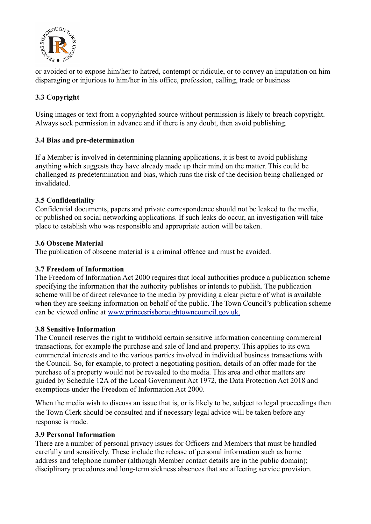

or avoided or to expose him/her to hatred, contempt or ridicule, or to convey an imputation on him disparaging or injurious to him/her in his office, profession, calling, trade or business

# **3.3 Copyright**

Using images or text from a copyrighted source without permission is likely to breach copyright. Always seek permission in advance and if there is any doubt, then avoid publishing.

## **3.4 Bias and pre-determination**

If a Member is involved in determining planning applications, it is best to avoid publishing anything which suggests they have already made up their mind on the matter. This could be challenged as predetermination and bias, which runs the risk of the decision being challenged or invalidated.

## **3.5 Confidentiality**

Confidential documents, papers and private correspondence should not be leaked to the media, or published on social networking applications. If such leaks do occur, an investigation will take place to establish who was responsible and appropriate action will be taken.

## **3.6 Obscene Material**

The publication of obscene material is a criminal offence and must be avoided.

# **3.7 Freedom of Information**

The Freedom of Information Act 2000 requires that local authorities produce a publication scheme specifying the information that the authority publishes or intends to publish. The publication scheme will be of direct relevance to the media by providing a clear picture of what is available when they are seeking information on behalf of the public. The Town Council's publication scheme can be viewed online at [www.princesrisboroughtowncouncil.gov.uk.](http://www.princesrisboroughtowncouncil.gov.uk./)

## **3.8 Sensitive Information**

The Council reserves the right to withhold certain sensitive information concerning commercial transactions, for example the purchase and sale of land and property. This applies to its own commercial interests and to the various parties involved in individual business transactions with the Council. So, for example, to protect a negotiating position, details of an offer made for the purchase of a property would not be revealed to the media. This area and other matters are guided by Schedule 12A of the Local Government Act 1972, the Data Protection Act 2018 and exemptions under the Freedom of Information Act 2000.

When the media wish to discuss an issue that is, or is likely to be, subject to legal proceedings then the Town Clerk should be consulted and if necessary legal advice will be taken before any response is made.

## **3.9 Personal Information**

There are a number of personal privacy issues for Officers and Members that must be handled carefully and sensitively. These include the release of personal information such as home address and telephone number (although Member contact details are in the public domain); disciplinary procedures and long-term sickness absences that are affecting service provision.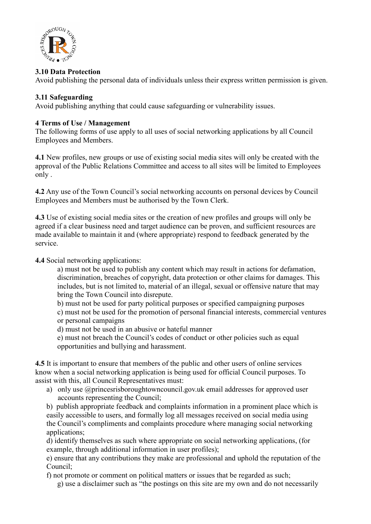

## **3.10 Data Protection**

Avoid publishing the personal data of individuals unless their express written permission is given.

#### **3.11 Safeguarding**

Avoid publishing anything that could cause safeguarding or vulnerability issues.

#### **4 Terms of Use / Management**

The following forms of use apply to all uses of social networking applications by all Council Employees and Members.

**4.1** New profiles, new groups or use of existing social media sites will only be created with the approval of the Public Relations Committee and access to all sites will be limited to Employees only .

**4.2** Any use of the Town Council's social networking accounts on personal devices by Council Employees and Members must be authorised by the Town Clerk.

**4.3** Use of existing social media sites or the creation of new profiles and groups will only be agreed if a clear business need and target audience can be proven, and sufficient resources are made available to maintain it and (where appropriate) respond to feedback generated by the service.

**4.4** Social networking applications:

a) must not be used to publish any content which may result in actions for defamation, discrimination, breaches of copyright, data protection or other claims for damages. This includes, but is not limited to, material of an illegal, sexual or offensive nature that may bring the Town Council into disrepute.

b) must not be used for party political purposes or specified campaigning purposes

c) must not be used for the promotion of personal financial interests, commercial ventures or personal campaigns

d) must not be used in an abusive or hateful manner

e) must not breach the Council's codes of conduct or other policies such as equal opportunities and bullying and harassment.

**4.5** It is important to ensure that members of the public and other users of online services know when a social networking application is being used for official Council purposes. To assist with this, all Council Representatives must:

a) only use @princesrisboroughtowncouncil.gov.uk email addresses for approved user accounts representing the Council;

b) publish appropriate feedback and complaints information in a prominent place which is easily accessible to users, and formally log all messages received on social media using the Council's compliments and complaints procedure where managing social networking applications;

d) identify themselves as such where appropriate on social networking applications, (for example, through additional information in user profiles);

e) ensure that any contributions they make are professional and uphold the reputation of the Council;

f) not promote or comment on political matters or issues that be regarded as such;

g) use a disclaimer such as "the postings on this site are my own and do not necessarily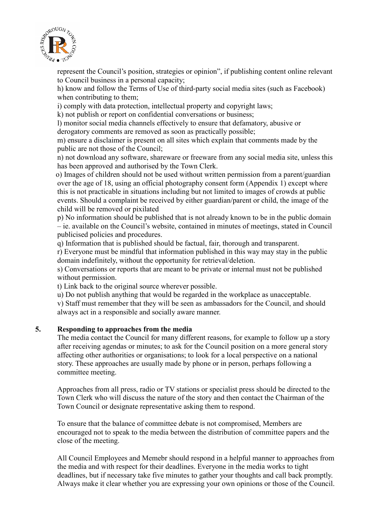

represent the Council's position, strategies or opinion", if publishing content online relevant to Council business in a personal capacity;

h) know and follow the Terms of Use of third-party social media sites (such as Facebook) when contributing to them;

i) comply with data protection, intellectual property and copyright laws;

k) not publish or report on confidential conversations or business;

l) monitor social media channels effectively to ensure that defamatory, abusive or derogatory comments are removed as soon as practically possible;

m) ensure a disclaimer is present on all sites which explain that comments made by the public are not those of the Council;

n) not download any software, shareware or freeware from any social media site, unless this has been approved and authorised by the Town Clerk.

 o) Images of children should not be used without written permission from a parent/guardian over the age of 18, using an official photography consent form (Appendix 1) except where this is not practicable in situations including but not limited to images of crowds at public events. Should a complaint be received by either guardian/parent or child, the image of the child will be removed or pixilated

p) No information should be published that is not already known to be in the public domain – ie. available on the Council's website, contained in minutes of meetings, stated in Council publicised policies and procedures.

q) Information that is published should be factual, fair, thorough and transparent.

r) Everyone must be mindful that information published in this way may stay in the public domain indefinitely, without the opportunity for retrieval/deletion.

s) Conversations or reports that are meant to be private or internal must not be published without permission.

t) Link back to the original source wherever possible.

u) Do not publish anything that would be regarded in the workplace as unacceptable.

v) Staff must remember that they will be seen as ambassadors for the Council, and should always act in a responsible and socially aware manner.

## **5. Responding to approaches from the media**

The media contact the Council for many different reasons, for example to follow up a story after receiving agendas or minutes; to ask for the Council position on a more general story affecting other authorities or organisations; to look for a local perspective on a national story. These approaches are usually made by phone or in person, perhaps following a committee meeting.

Approaches from all press, radio or TV stations or specialist press should be directed to the Town Clerk who will discuss the nature of the story and then contact the Chairman of the Town Council or designate representative asking them to respond.

To ensure that the balance of committee debate is not compromised, Members are encouraged not to speak to the media between the distribution of committee papers and the close of the meeting.

All Council Employees and Memebr should respond in a helpful manner to approaches from the media and with respect for their deadlines. Everyone in the media works to tight deadlines, but if necessary take five minutes to gather your thoughts and call back promptly. Always make it clear whether you are expressing your own opinions or those of the Council.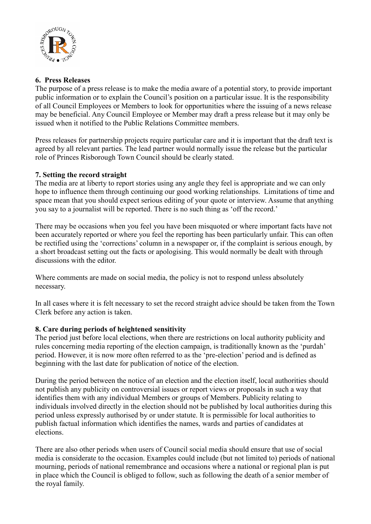

## **6. Press Releases**

The purpose of a press release is to make the media aware of a potential story, to provide important public information or to explain the Council's position on a particular issue. It is the responsibility of all Council Employees or Members to look for opportunities where the issuing of a news release may be beneficial. Any Council Employee or Member may draft a press release but it may only be issued when it notified to the Public Relations Committee members.

Press releases for partnership projects require particular care and it is important that the draft text is agreed by all relevant parties. The lead partner would normally issue the release but the particular role of Princes Risborough Town Council should be clearly stated.

## **7. Setting the record straight**

The media are at liberty to report stories using any angle they feel is appropriate and we can only hope to influence them through continuing our good working relationships. Limitations of time and space mean that you should expect serious editing of your quote or interview. Assume that anything you say to a journalist will be reported. There is no such thing as 'off the record.'

There may be occasions when you feel you have been misquoted or where important facts have not been accurately reported or where you feel the reporting has been particularly unfair. This can often be rectified using the 'corrections' column in a newspaper or, if the complaint is serious enough, by a short broadcast setting out the facts or apologising. This would normally be dealt with through discussions with the editor.

Where comments are made on social media, the policy is not to respond unless absolutely necessary.

In all cases where it is felt necessary to set the record straight advice should be taken from the Town Clerk before any action is taken.

## **8. Care during periods of heightened sensitivity**

The period just before local elections, when there are restrictions on local authority publicity and rules concerning media reporting of the election campaign, is traditionally known as the 'purdah' period. However, it is now more often referred to as the 'pre-election' period and is defined as beginning with the last date for publication of notice of the election.

During the period between the notice of an election and the election itself, local authorities should not publish any publicity on controversial issues or report views or proposals in such a way that identifies them with any individual Members or groups of Members. Publicity relating to individuals involved directly in the election should not be published by local authorities during this period unless expressly authorised by or under statute. It is permissible for local authorities to publish factual information which identifies the names, wards and parties of candidates at elections.

There are also other periods when users of Council social media should ensure that use of social media is considerate to the occasion. Examples could include (but not limited to) periods of national mourning, periods of national remembrance and occasions where a national or regional plan is put in place which the Council is obliged to follow, such as following the death of a senior member of the royal family.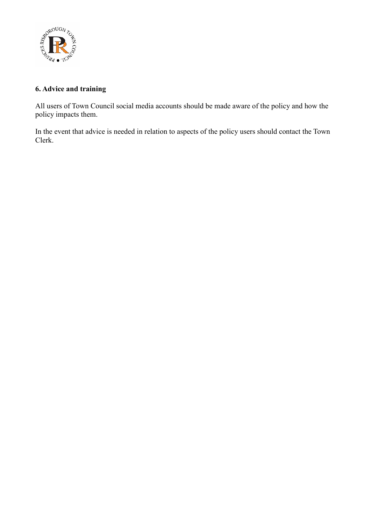

# **6. Advice and training**

All users of Town Council social media accounts should be made aware of the policy and how the policy impacts them.

In the event that advice is needed in relation to aspects of the policy users should contact the Town Clerk.